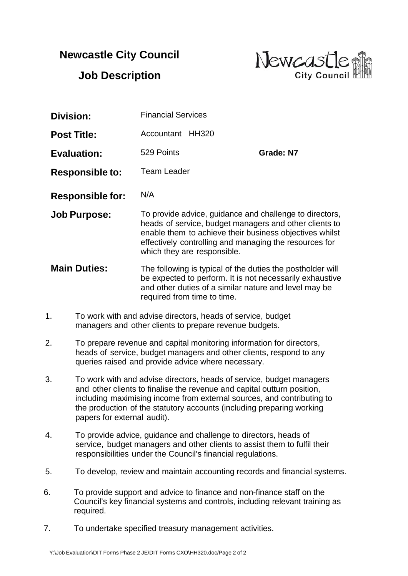## **Newcastle City Council**



**Job Description**

| Division:               | <b>Financial Services</b>                                                                                                                                                                                                                                             |                  |
|-------------------------|-----------------------------------------------------------------------------------------------------------------------------------------------------------------------------------------------------------------------------------------------------------------------|------------------|
| <b>Post Title:</b>      | Accountant<br><b>HH320</b>                                                                                                                                                                                                                                            |                  |
| <b>Evaluation:</b>      | 529 Points                                                                                                                                                                                                                                                            | <b>Grade: N7</b> |
| <b>Responsible to:</b>  | <b>Team Leader</b>                                                                                                                                                                                                                                                    |                  |
| <b>Responsible for:</b> | N/A                                                                                                                                                                                                                                                                   |                  |
| <b>Job Purpose:</b>     | To provide advice, guidance and challenge to directors,<br>heads of service, budget managers and other clients to<br>enable them to achieve their business objectives whilst<br>effectively controlling and managing the resources for<br>which they are responsible. |                  |
| <b>Main Duties:</b>     | The following is typical of the duties the postholder will<br>be expected to perform. It is not necessarily exhaustive<br>and other duties of a similar nature and level may be<br>required from time to time.                                                        |                  |

- 1. To work with and advise directors, heads of service, budget managers and other clients to prepare revenue budgets.
- 2. To prepare revenue and capital monitoring information for directors, heads of service, budget managers and other clients, respond to any queries raised and provide advice where necessary.
- 3. To work with and advise directors, heads of service, budget managers and other clients to finalise the revenue and capital outturn position, including maximising income from external sources, and contributing to the production of the statutory accounts (including preparing working papers for external audit).
- 4. To provide advice, guidance and challenge to directors, heads of service, budget managers and other clients to assist them to fulfil their responsibilities under the Council's financial regulations.
- 5. To develop, review and maintain accounting records and financial systems.
- 6. To provide support and advice to finance and non-finance staff on the Council's key financial systems and controls, including relevant training as required.
- 7. To undertake specified treasury management activities.